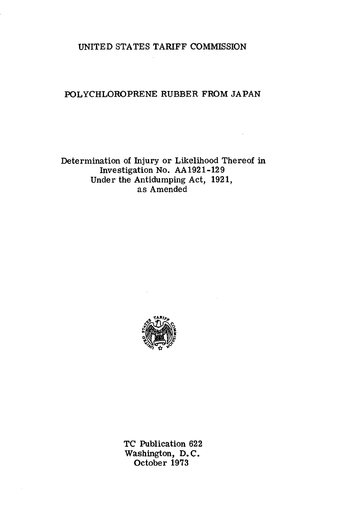## UNITED STATES TARIFF COMMISSION

### POLYCHLOROPRENE RUBBER FROM JAPAN

## Determination of Injury or Likelihood Thereof in Investigation No. AA1921-129 Under the Antidumping Act, 1921, as Amended



TC Publication 622 Washington, D. C. October 1973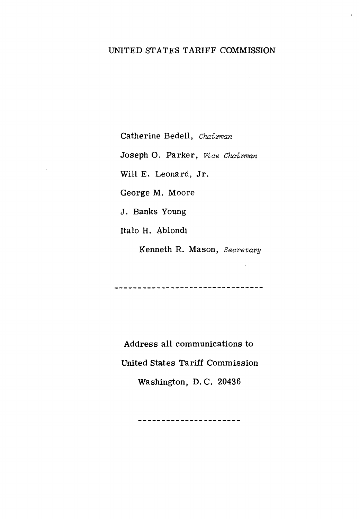# UNITED STATES TARIFF COMMISSION

Catherine Bedell, *Chairman*  Joseph O. Parker, *Vice Chairman* Will E. Leonard, Jr. George M. Moore J. Banks Young Italo H. Ablondi

Kenneth R. Mason, *Secretary* 

---------------------------------

Address all communications to United States Tariff Commission Washington, D. C. 20436

----------------------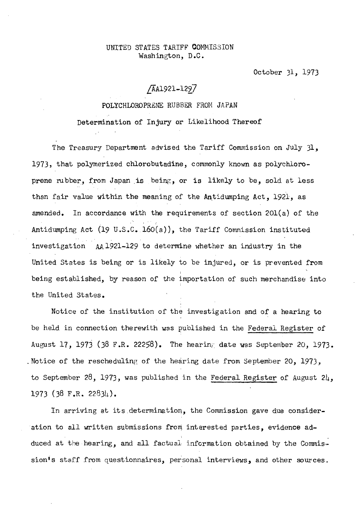#### UNITED STATES TARIFF COMMISSION Washington, D.C.

October Jl, 1973

# [AA1921-122.7

#### POLYCHLOROPRENE RUBBER FROM JAPAN

Determination of Injury or Likelihood Thereof

The Treasury Department advised the Tariff Commission on July  $31$ . 1973, that polymerized chlorobutadine, commonly known as polychloroprene rubber, from Japan is being, or is likely to be, sold at less than fair value within the meaning of the Antidumping Act, 1921, as amended. In accordance with the requirements of section  $201(a)$  of the Antidumping Act (19 U.S.C. 160(a)), the Tariff Commission instituted investigation AA 1921-129 to determine whether an industry in the United States is being or is likely to be injured, or is prevented from being established, by reason of the importation of such merchandise into the United States.

Notice of the institution of the investigation and of a hearing to be held in connection therewith was published in the Federal Register of August 17, 1973 (38 F.R. 22258). The hearing date was September 20, 1973. . Notice of the rescheduling of the hearing date from September 20, 1973, to September 28, 1973, was published in the Federal Register of August  $24$ , 1973 (38 F.R. 22834).

In arriving at its determination, the Commission gave due consideration to all written submissions from interested parties, evidence adduced at the hearing, and all factual information obtained by the Commis· sion's staff from questionnaires, personal interviews, and other sources.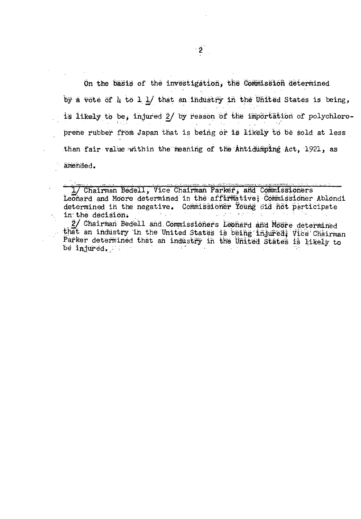On the basis of the investigation, the Commission determined by a vote of  $\mu$  to  $1 \text{ } 1$  that an industry in the United States is being, is likely to be, injured 2/ by reason of the importation of polychloroprene rubber from Japan that is being or is likely to be sold at less than fair value within the meaning of the Antidumping Act, 1921, as amended.

1/ Chairman Bedell, Vice Chairman Parker, and Commissioners Leonard and Moore determined in the affirmative; Commissioner Ablondi determined in the negative. Commissioner Young did not participate in the decision. 2/ Chairman Bedell and Commissioners Leonard and Moore determined that an industry in the United States is being injured; Vice Chairman Parker determined that an industry in the United States is likely to be injured.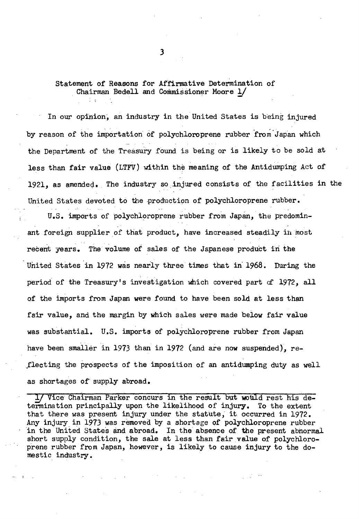# Statement of Reasons for Affirmative Determination of Chairman Bedell and Commissioner Moore  $1/$

In our opinion, an industry in the United States is being injured by reason of the importation of polychloroprene rubber from Japan which the Department of the Treasury found is being or is likely to be sold at less than fair value (LTFV) within the meaning of the Antidumping Act of 1921, as amended. The industry so injured consists of the facilities in the United States devoted to the production of polychloroprene rubber.

u.s. imports of polychloroprene rubber from Japan, the predominant foreign supplier of that product, have increased steadily in most recent years. The volume of sales of the Japanese product iri the United States in 1972 was nearly three times that in' 1968. During the period of the Treasury's investigation which covered part af 1972, all of the imports from Japan were found to have been sold at less than fair value, and the margin by which sales were made below fair value was substantial. U.S. imports of polychloroprene rubber from Japan have been smaller in 1973 than in 1972 (and are now suspended), re-.fleeting the prospects of the imposition of an antidumping duty as well as shortages of' supply abroad.

*J*/ Vice Chairman Parker concurs in the result but would rest his determination principally upon the likelihood of injury. To the extent that there was present injury under the statute, it. occurred in 1972. Any injury in 1973 was removed by a shortage of polychloroprene rubber in the United States and abroad. In the absence of the present abnormal short supply condition, the sale at less than fair value of polychloroprene rubber from Japan, however, is likely to cause injury to the domestic industry.

3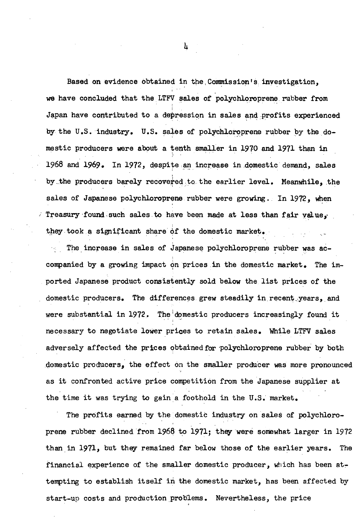Based on evidence obtained in the Commission's investigation. we have concluded that the LTFV sales of polychloroprene rubber from Japan have contributed to a depression in sales and profits experienced by the U.S. industry. U.S. sales of polychloroprene rubber by the domestic producers were about a tenth smaller in 1970 and 1971 than in 1968 and 1969. In 1972, despite an increase in domestic demand, sales by the producers barely recovered to the earlier level. Meanwhile, the sales of Japanese polychloroprene rubber were growing. In 1972, when Treasury found such sales to have been made at less than fair yalue, they took a significant share of the domestic market.

The increase in sales of Japanese polychloroprene rubber was accompanied by a growing impact on prices in the domestic market. The imported Japanese product consistently sold below the list prices of the domestic producers. The differences grew steadily in recent years, and were substantial in 1972. The domestic producers increasingly found it necessary to negotiate lower prices to retain sales. While LTFV sales adversely affected the prices obtained for polychloroprene rubber by both domestic producers, the effect on the smaller producer was more pronounced as it confronted active price competition from the Japanese supplier at the time it was trying to gain a foothold in the U.S. market.

The profits earned by the domestic industry on sales of polychloroprene rubber declined from 1968 to 1971; they were somewhat larger in 1972 than in 1971, but they remained far below those of the earlier years. The financial experience of the smaller domestic producer, which has been attempting to establish itself in the domestic market, has been affected by start-up costs and production problems. Nevertheless, the price

՝ µ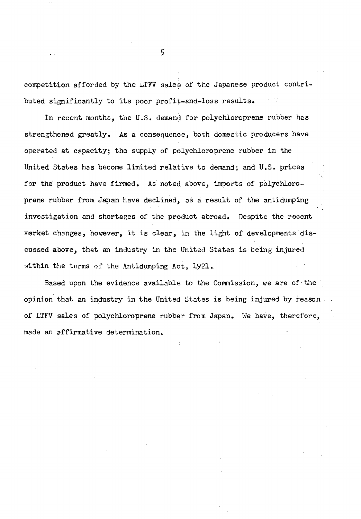competition afforded by the LTFV sales of the Japanese pr0duct contributed significantly to its poor profit-and-loss results.

In recent months, the U.S. demand for polychloroprene rubber has strengthened greatly. As a consequence, both domestic producers have operated at capacity; the supply of polychloroprene rubber in the United States has become limited relative to demand; and U.S. prices for the product have firmed. As noted above, imports of polychloroprene rubber from Japan have declined, as a. result of the antidumping investigation and shortages of the product abroad. Despite the recent market changes, however, it is clear, in the light of developments discussed above, that an industry in the United States is being injured within the terms of the Antidumping Act, 1921.

Based upon the evidence available to the Commission, we are of ·the opinion that an industry in the United States is being injured by reason of LTFV sales of polychloroprene rubber from Japan. We have, therefore, made an affirmative determination.

5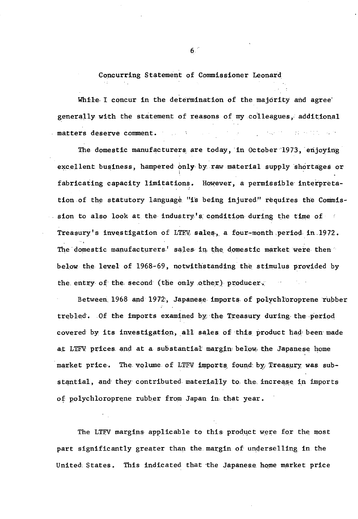### Concurring Statement of Commissioner Leonard

While I concur in the determination of the majority and agree generally with the statement of reasons of my colleagues, additional matters deserve comment.  $\mathcal{L}_\mathrm{c}$  , where  $\mathcal{L}_\mathrm{c}$  are the set of the set of  $\mathcal{L}_\mathrm{c}$ 

The domestic manufacturers are today, in October 1973, enjoying excellent business, hampered only by raw material supply shortages or fabricating capacity limitations. However, a permissible interpretation of the statutory language "is being injured" requires the Commission to also look at the industry's condition during the time of Treasury's investigation of LTEV sales, a four-month period in 1972. The domestic manufacturers' sales in the domestic market were then below the level of 1968-69, notwithstanding the stimulus provided by the entry of the second (the only other) producer.  $\sim 0.6$  and

Between 1968 and 1972, Japanese imports of polychloroprene rubber trebled. Of the imports examined by the Treasury during the period covered by its investigation, all sales of this product had been made at LTFV prices and at a substantial margin below the Japanese home market price. The volume of LTFV imports found by Treasury was substantial, and they contributed materially to the increase in imports of polychloroprene rubber from Japan in that year.

The LTFV margins applicable to this product were for the most part significantly greater than the margin of underselling in the This indicated that the Japanese home market price United States.

 $6<sup>1</sup>$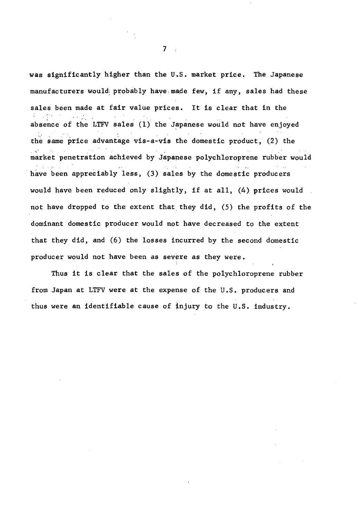was significantly higher than the U.S. market price. The Japanese manufacturers would: probably have made few, if any, sales had these sales been made at fair value prices. It is clear that in the . . absence of the LTFV sales  $(1)$  the Japanese would not have enjoyed the same price advantage vis-a-vis the domestic product,  $(2)$  the market penetration achieved by Japanese polychloroprene rubber would have been appreciably less, (3) sales by the domestic producers would have been reduced only slightly, if at all, (4) prices would not have dropped to the extent that they did,  $(5)$  the profits of the dominant domestic producer would not have decreased to the extent that they did, and (6) the losses incurred by the second domestic producer would not have been as severe as they were.

Thus it is clear that the sales of the polychloroprene rubber from Japan at LTFV were at the expense of the U.S. producers and thus were an identifiable cause of injury to the U.S. industry.

 $7<sub>1</sub>$